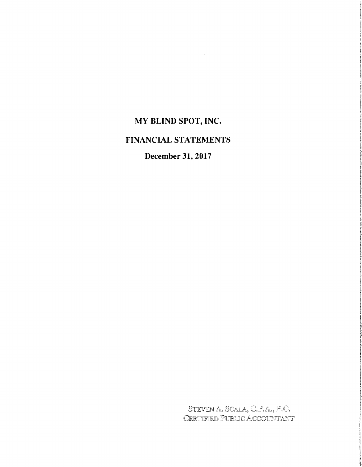# MY BLIND SPOT, INC.

# FINANCIAL STATEMENTS

# December 31, 2017

STEVEN A. SCALA, C.P.A., P.C. CERTIFIED PUBLIC ACCOUNTANT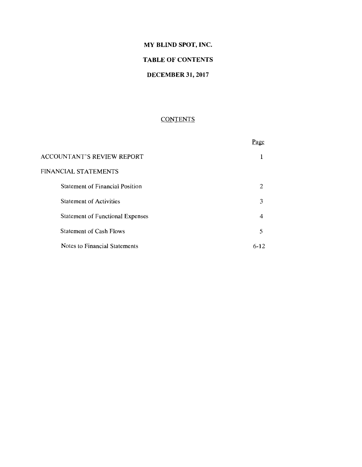# **MY BLIND SPOT, INC.**

# **TABLE OF CONTENTS**

# **DECEMBER 31,2017**

# **CONTENTS**

|                                         | age. |
|-----------------------------------------|------|
| <b>ACCOUNTANT'S REVIEW REPORT</b>       |      |
| FINANCIAL STATEMENTS                    |      |
| <b>Statement of Financial Position</b>  | 2    |
| <b>Statement of Activities</b>          | 3    |
| <b>Statement of Functional Expenses</b> | 4    |
| <b>Statement of Cash Flows</b>          | 5    |
| Notes to Financial Statements           | 6-12 |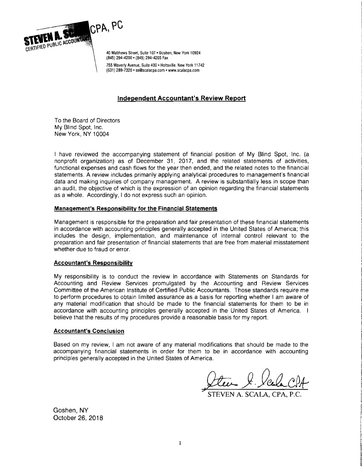

40 Matthews Street, Suite 107 . Goshen, New York 10924 (845) 294-4200· (845) 294-4205 Fax

755 Waverly Avenue, Suite 400 . Holtsville, New York 11742 (631) 289-7320 • ss@scalacpa.com· www.scalacpa.com

# **Independent Accountant's Review Report**

To the Board of Directors My Blind Spot, Inc. New York, NY 10004

I have reviewed the accompanying statement of financial position of My Blind Spot. Inc. (a nonprofit organization) as of December 31, 2017, and the related statements of activities. functional expenses and cash flows for the year then ended, and the related notes to the financial statements. A review includes primarily applying analytical procedures to management's financial data and making inquiries of company management. A review is substantially less in scope than an audit. the objective of which is the expression of an opinion regarding the financial statements as a whole. Accordingly, I do not express such an opinion.

# **Management's Responsibility for the Financial Statements**

Management is responsible for the preparation and fair presentation of these financial statements in accordance with accounting principles generally accepted in the United States of America; this includes the design. implementation. and maintenance of internal control relevant to the preparation and fair presentation of financial statements that are free from material misstatement whether due to fraud or error.

# **Accountant's Responsibility**

My responsibility is to conduct the review in accordance with Statements on Standards for Accounting and Review Services promulgated by the Accounting and Review Services Committee of the American Institute of Certified Public Accountants. Those standards require me to perform procedures to obtain limited assurance as a basis for reporting whether I am aware of any material modification that should be made to the financial statements for them to be in accordance with accounting principles generally accepted in the United States of America. I believe that the results of my procedures provide a reasonable basis for my report.

#### **Accountant's Conclusion**

Based on my review. I am not aware of any material modifications that should be made to the accompanying financial statements in order for them to be in accordance with accounting principles generally accepted in the United States of America.

,,~ J.*Ye.LcPA-*

VEN A. SCALA

Goshen, NY October 26, 2018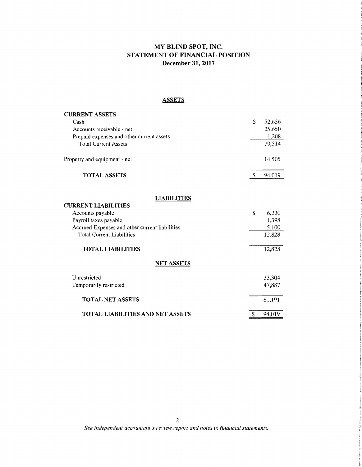# MY BLIND SPOT, INC. STATEMENT OF FINANCIAL POSITION December 31,2017

# **ASSETS**

| <b>CURRENT ASSETS</b>                                                                                                                                                                                           |                                                   |
|-----------------------------------------------------------------------------------------------------------------------------------------------------------------------------------------------------------------|---------------------------------------------------|
| Cash                                                                                                                                                                                                            | \$<br>52,656                                      |
| Accounts receivable - net                                                                                                                                                                                       | 25,650                                            |
| Prepaid expenses and other current assets                                                                                                                                                                       | 1,208                                             |
| <b>Total Current Assets</b>                                                                                                                                                                                     | 79,514                                            |
| Property and equipment - net                                                                                                                                                                                    | 14,505                                            |
| <b>TOTAL ASSETS</b>                                                                                                                                                                                             | \$<br>94,019                                      |
| <b>LIABILITIES</b><br><b>CURRENT LIABILITIES</b><br>Accounts payable<br>Payroll taxes payable<br>Accrued Expenses and other current liabilities<br><b>Total Current Liabilities</b><br><b>TOTAL LIABILITIES</b> | \$<br>6,330<br>1,398<br>5,100<br>12,828<br>12,828 |
|                                                                                                                                                                                                                 |                                                   |
| <b>NET ASSETS</b>                                                                                                                                                                                               |                                                   |
| Unrestricted                                                                                                                                                                                                    | 33,304                                            |
| Temporarily restricted                                                                                                                                                                                          | 47,887                                            |
| <b>TOTAL NET ASSETS</b>                                                                                                                                                                                         | 81,191                                            |
| <b>TOTAL LIABILITIES AND NET ASSETS</b>                                                                                                                                                                         | \$<br>94,019                                      |

*See independent accountant's review report and notes to financial statements.*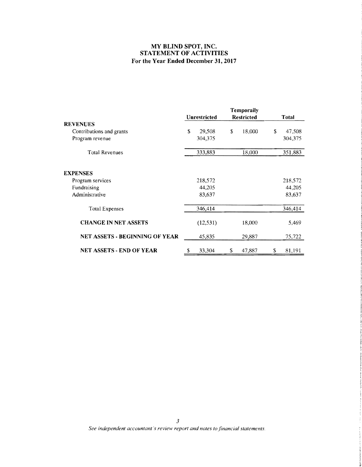# **MY BLIND SPOT, INC. STATEMENT OF ACTIVITIES For the Year Ended December 31, 2017**

|                                       | <b>Temporaily</b> |                     |    |                   |    |              |
|---------------------------------------|-------------------|---------------------|----|-------------------|----|--------------|
|                                       |                   | <b>Unrestricted</b> |    | <b>Restricted</b> |    | <b>Total</b> |
| <b>REVENUES</b>                       |                   |                     |    |                   |    |              |
| Contributions and grants              | \$                | 29,508              | \$ | 18,000            | \$ | 47,508       |
| Program revenue                       |                   | 304,375             |    |                   |    | 304,375      |
| <b>Total Revenues</b>                 |                   | 333,883             |    | 18,000            |    | 351,883      |
| <b>EXPENSES</b>                       |                   |                     |    |                   |    |              |
| Program services                      |                   | 218,572             |    |                   |    | 218,572      |
| Fundraising                           |                   | 44,205              |    |                   |    | 44,205       |
| Administrative                        |                   | 83,637              |    |                   |    | 83,637       |
| <b>Total Expenses</b>                 |                   | 346,414             |    |                   |    | 346,414      |
| <b>CHANGE IN NET ASSETS</b>           |                   | (12, 531)           |    | 18,000            |    | 5,469        |
| <b>NET ASSETS - BEGINNING OF YEAR</b> |                   | 45,835              |    | 29,887            |    | 75,722       |
| <b>NET ASSETS - END OF YEAR</b>       | \$                | 33,304              | \$ | 47,887            | S  | 81,191       |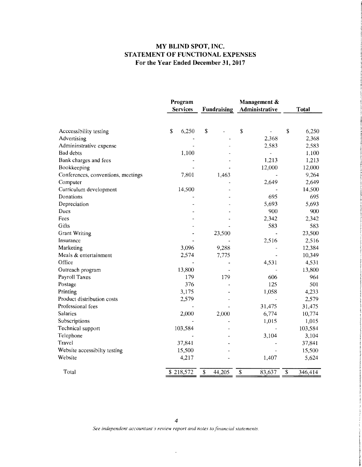# **MY BLIND SPOT, INC. STATEMENT OF FUNCTIONAL EXPENSES For the Year Ended December 31, 2017**

|                                    | Program<br><b>Services</b> | <b>Fundraising</b>                | Management &<br>Administrative | <b>Total</b>                        |
|------------------------------------|----------------------------|-----------------------------------|--------------------------------|-------------------------------------|
|                                    |                            |                                   |                                |                                     |
| Acccessibility testing             | \$<br>6,250                | \$                                | \$                             | \$<br>6,250                         |
| Advertising                        |                            |                                   | 2,368                          | 2,368                               |
| Admininstrative expense            |                            |                                   | 2,583                          | 2,583                               |
| <b>Bad debts</b>                   | 1,100                      |                                   | $\blacksquare$                 | 1,100                               |
| Bank charges and fees              |                            |                                   | 1,213                          | 1,213                               |
| Bookkeeping                        |                            |                                   | 12,000                         | 12,000                              |
| Conferences, conventions, meetings | 7,801                      | 1,463                             |                                | 9,264                               |
| Computer                           |                            |                                   | 2,649                          | 2,649                               |
| Curriculum development             | 14,500                     |                                   |                                | 14,500                              |
| Donations                          |                            |                                   | 695                            | 695                                 |
| Depreciation                       |                            |                                   | 5,693                          | 5,693                               |
| Dues                               |                            |                                   | 900                            | 900                                 |
| Fees                               |                            |                                   | 2,342                          | 2,342                               |
| Gifts                              |                            |                                   | 583                            | 583                                 |
| <b>Grant Writing</b>               |                            | 23,500                            |                                | 23,500                              |
| Insurance                          |                            |                                   | 2,516                          | 2,516                               |
| Marketing                          | 3,096                      | 9,288                             |                                | 12,384                              |
| Meals & entertainment              | 2,574                      | 7,775                             |                                | 10,349                              |
| Office                             |                            |                                   | 4,531                          | 4,531                               |
| Outreach program                   | 13,800                     |                                   |                                | 13,800                              |
| <b>Payroll Taxes</b>               | 179                        | 179                               | 606                            | 964                                 |
| Postage                            | 376                        |                                   | 125                            | 501                                 |
| Printing                           | 3,175                      |                                   | 1,058                          | 4,233                               |
| Product distribution costs         | 2,579                      |                                   |                                | 2,579                               |
| Professional fees                  |                            |                                   | 31,475                         | 31,475                              |
| <b>Salaries</b>                    | 2,000                      | 2,000                             | 6,774                          | 10,774                              |
| Subscriptions                      |                            |                                   | 1,015                          | 1,015                               |
| Technical support                  | 103,584                    |                                   |                                | 103,584                             |
| Telephone                          |                            |                                   | 3,104                          | 3,104                               |
| Travel                             | 37,841                     |                                   |                                | 37,841                              |
| Website accessibilty testing       | 15,500                     |                                   |                                | 15,500                              |
| Website                            | 4,217                      |                                   | 1,407                          | 5,624                               |
| Total                              | \$218,572                  | $\overline{\mathbf{S}}$<br>44,205 | \$<br>83,637                   | $\overline{\mathcal{L}}$<br>346,414 |

 $\ddot{\phantom{a}}$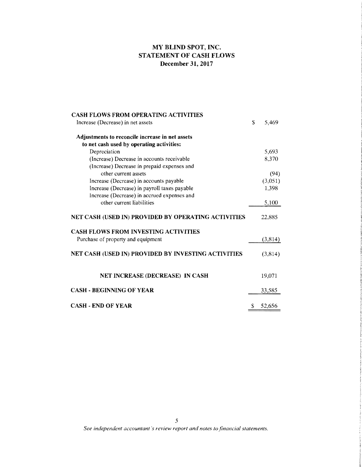# MY BLIND SPOT, INC. STATEMENT OF CASH FLOWS December 31,2017

| <b>CASH FLOWS FROM OPERATING ACTIVITIES</b>         |    |         |
|-----------------------------------------------------|----|---------|
| Increase (Decrease) in net assets                   | S  | 5.469   |
| Adjustments to reconcile increase in net assets     |    |         |
| to net cash used by operating activities:           |    |         |
| Depreciation                                        |    | 5,693   |
| (Increase) Decrease in accounts receivable          |    | 8,370   |
| (Increase) Decrease in prepaid expenses and         |    |         |
| other current assets                                |    | (94)    |
| Increase (Decrease) in accounts payable             |    | (3,051) |
| Increase (Decrease) in payroll taxes payable        |    | 1,398   |
| Increase (Decrease) in accrued expenses and         |    |         |
| other current liabilities                           |    | 5,100   |
| NET CASH (USED IN) PROVIDED BY OPERATING ACTIVITIES |    | 22,885  |
| <b>CASH FLOWS FROM INVESTING ACTIVITIES</b>         |    |         |
| Purchase of property and equipment                  |    | (3,814) |
| NET CASH (USED IN) PROVIDED BY INVESTING ACTIVITIES |    | (3,814) |
| NET INCREASE (DECREASE) IN CASH                     |    | 19,071  |
| <b>CASH - BEGINNING OF YEAR</b>                     |    | 33,585  |
| <b>CASH - END OF YEAR</b>                           | \$ | 52.656  |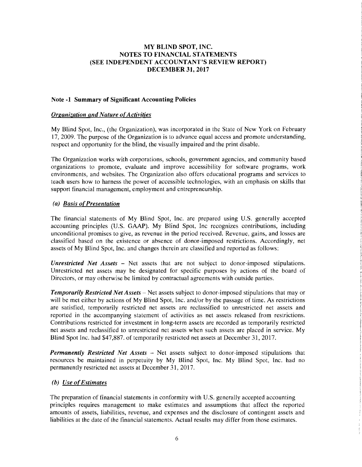#### Note -1 Summary of Significant Accounting Policies

#### *Organization and Nature of Activities*

My Blind Spot, Inc., (the Organization), was incorporated in the State of New York on February 17, 2009. The purpose of the Organization is to advance equal access and promote understanding, respect and opportunity for the blind, the visually impaired and the print disable.

The Organization works with corporations, schools, government agencies, and community based organizations to promote, evaluate and improve accessibility for software programs, work environments, and websites. The Organization also offers educational programs and services to teach users how to harness the power of accessible technologies, with an emphasis on skills that support financial management, employment and entrepreneurship.

### *(a) Basis ofPresentation*

The financial statements of My Blind Spot, Inc. are prepared using U.S. generally accepted accounting principles (U.S. GAAP). My Blind Spot, Inc recognizes contributions, including unconditional promises to give, as revenue in the period received. Revenue, gains, and losses are classified based on the existence or absence of donor-imposed restrictions. Accordingly, net assets of My Blind Spot, Inc. and changes therein are classified and reported as follows:

*Unrestricted Net Assets* - Net assets that are not subject to donor-imposed stipulations. Unrestricted net assets may be designated for specific purposes by actions of the board of Directors, or may otherwise be limited by contractual agreements with outside parties.

**Temporarily Restricted Net Assets – Net assets subject to donor-imposed stipulations that may or** will be met either by actions of My Blind Spot, Inc. and/or by the passage of time. As restrictions are satisfied, temporarily restricted net assets are reclassified to unrestricted net assets and reported in the accompanying statement of activities as net assets released from restrictions. Contributions restricted for investment in long-term assets are recorded as temporarily restricted net assets and reclassified to unrestricted net assets when such assets are placed in service. My Blind Spot Inc. had \$47,887. of temporarily restricted net assets at December 31, 2017.

**Permanently Restricted Net Assets – Net assets subject to donor-imposed stipulations that** resources be maintained in perpetuity by My Blind Spot, Inc. My Blind Spot, Inc. had no permanently restricted net assets at December 31,2017.

# *(b) Use ofEstimates*

The preparation of financial statements in conformity with U.S. generally accepted accounting principles requires management to make estimates and assumptions that affect the reported amounts of assets, liabilities, revenue, and expenses and the disclosure of contingent assets and liabilities at the date of the financial statements. Actual results may differ from those estimates.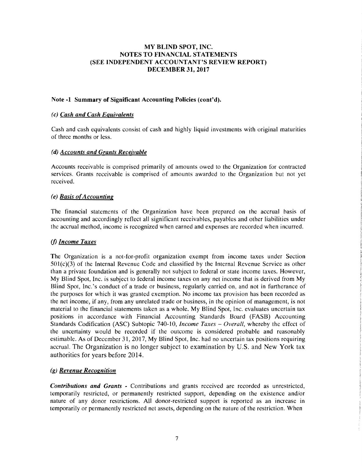### Note -1 Summary of Significant Accounting Policies (cont'd).

#### *(c) Cash and Cash Equivalents*

Cash and cash equivalents consist of cash and highly liquid investments with original maturities of three months or less.

#### *(d) Accounts and Grants Receivable*

Accounts receivable is comprised primarily of amounts owed to the Organization for contracted services. Grants receivable is comprised of amounts awarded to the Organization but not yet received.

### *(e) Basis ofAccounting*

The financial statements of the Organization have been prepared on the accrual basis of accounting and accordingly reflect all significant receivables, payables and other liabilities under the accrual method, income is recognized when earned and expenses are recorded when incurred.

# (j) *Income Taxes*

The Organization is a not-for-profit organization exempt from income taxes under Section 501(c)(3) of the Internal Revenue Code and classified by the Internal Revenue Service as other than a private foundation and is generally not subject to federal or state income taxes. However, My Blind Spot, Inc. is subject to federal income taxes on any net income that is derived from My Blind Spot, Inc. 's conduct of a trade or business, regularly carried on, and not in furtherance of the purposes for which it was granted exemption. No income tax provision has been recorded as the net income, if any, from any unrelated trade or business, in the opinion of management, is not material to the financial statements taken as a whole. My Blind Spot, Inc. evaluates uncertain tax positions in accordance with Financial Accounting Standards Board (FASB) Accounting Standards Codification (ASC) Subtopic 740-10, *Income Taxes - Overall*, whereby the effect of the uncertainty would be recorded if the outcome is considered probable and reasonably estimable. As of December 31, 2017, My Blind Spot, Inc. had no uncertain tax positions requiring accrual. The Organization is no longer subject to examination by U.S. and New York tax authorities for years before 2014.

# *(g) Revenue Recognition*

*Contributions and Grants* - Contributions and grants received are recorded as unrestricted, temporarily restricted, or permanently restricted support, depending on the existence and/or nature of any donor restrictions. All donor-restricted support is reported as an increase in temporarily or permanently restricted net assets, depending on the nature of the restriction. When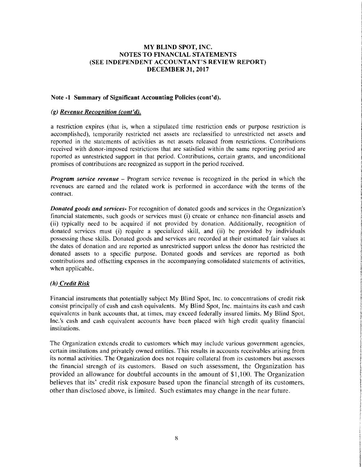#### Note -1 Summary of Significant Accounting Policies (cont'd).

#### *(g) Revenue Recognition (cont'd).*

a restriction expires (that is, when a stipulated time restriction ends or purpose restriction is accomplished), temporarily restricted net assets are reclassified to unrestricted net assets and reported in the statements of activities as net assets released from restrictions. Contributions received with donor-imposed restrictions that are satisfied within the same reporting period are reported as unrestricted support in that period. Contributions, certain grants, and unconditional promises of contributions are recognized as support in the period received.

*Program service revenue* – Program service revenue is recognized in the period in which the revenues are earned and the related work is performed in accordance with the terms of the contract.

*Donated goods and services·* For recognition of donated goods and services in the Organization'S financial statements, such goods or services must (i) create or enhance non-financial assets and (ii) typically need to be acquired if not provided by donation. Additionally, recognition of donated services must (i) require a specialized skill, and (ii) be provided by individuals possessing these skills. Donated goods and services are recorded at their estimated fair values at the dates of donation and are reported as unrestricted support unless the donor has restricted the donated assets to a specific purpose. Donated goods and services are reported as both contributions and offsetting expenses in the accompanying consolidated statements of activities, when applicable.

# *(h) Credit Risk*

Financial instruments that potentially subject My Blind Spot, Inc. to concentrations of credit risk consist principally of cash and cash equivalents. My Blind Spot, Inc. maintains its cash and cash equivalents in bank accounts that, at times, may exceed federally insured limits. My Blind Spot, Inc.'s cash and cash equivalent accounts have been placed with high credit quality financial institutions.

The Organization extends credit to customers which may include various government agencies, certain institutions and privately owned entities. This results in accounts receivables arising from its normal activities. The Organization does not require collateral from its customers but assesses the financial strength of its customers. Based on such assessment, the Organization has provided an allowance for doubtful accounts in the amount of \$1,100. The Organization believes that its' credit risk exposure based upon the financial strength of its customers, other than disclosed above, is limited. Such estimates may change in the near future.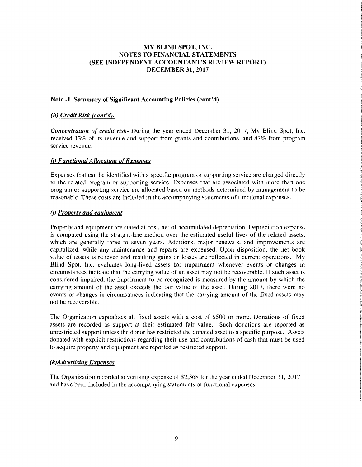# Note -1 Summary of Significant Accounting Policies (cont'd).

# *(h) Credit Risk (cont'd).*

*Concentration of credit risk-* During the year ended December 31, 2017, My Blind Spot, Inc. received 13% of its revenue and support from grants and contributions, and 87% from program service revenue.

### *(i) Functional Allocation* of*Expenses*

Expenses that can be identified with a specific program or supporting service are charged directly to the related program or supporting service. Expenses that are associated with more than one program or supporting service are allocated based on methods determined by management to be reasonable. These costs are included in the accompanying statements of functional expenses.

# (j) *Property and equipment*

Property and equipment are stated at cost, net of accumulated depreciation. Depreciation expense is computed using the straight-line method over the estimated useful lives of the related assets, which are generally three to seven years. Additions, major renewals, and improvements are capitalized, while any maintenance and repairs are expensed. Upon disposition, the net book value of assets is relieved and resulting gains or losses are reflected in current operations. My Blind Spot, Inc. evaluates long-lived assets for impairment whenever events or changes in circumstances indicate that the carrying value of an asset may not be recoverable. If such asset is considered impaired, the impairment to be recognized is measured by the amount by which the carrying amount of the asset exceeds the fair value of the asset. During 2017, there were no events or changes in circumstances indicating that the carrying amount of the fixed assets may not be recoverable.

The Organization capitalizes all fixed assets with a cost of \$500 or more. Donations of fixed assets are recorded as support at their estimated fair value. Such donations are reported as unrestricted support unless the donor has restricted the donated asset to a specific purpose. Assets donated with explicit restrictions regarding their use and contributions of cash that must be used to acquire property and equipment are reported as restricted support.

# *(k)Advertising Expenses*

The Organization recorded advertising expense of \$2,368 for the year ended December 31,2017 and have been included in the accompanying statements of functional expenses.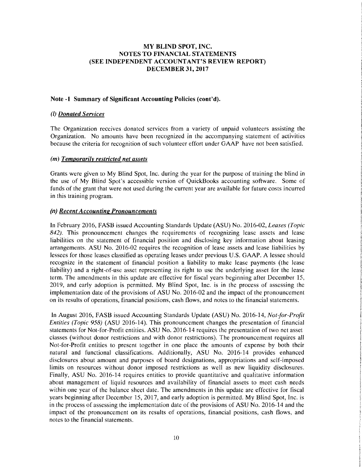#### Note -1 Summary of Significant Accounting Policies (cont'd).

#### (I) *Donated Services*

The Organization receives donated services from a variety of unpaid volunteers assisting the Organization. No amounts have been recognized in the accompanying statement of activities because the criteria for recognition of such volunteer effort under GAAP have not been satisfied.

### *(m) Temporarily restricted net assets*

Grants were given to My Blind Spot, Inc. during the year for the purpose of training the blind in the use of My Blind Spot's accessible version of QuickBooks accounting software. Some of funds of the grant that were not used during the current year are available for future costs incurred in this training program.

### (n) *Recent Accounting Pronouncements*

In February 2016, FASB issued Accounting Standards Update (ASU) No. 2016-02, *Leases (Topic*  842). This pronouncement changes the requirements of recognizing lease assets and lease liabilities on the statement of financial position and disclosing key information about leasing arrangements. ASU No. 2016-02 requires the recognition of lease assets and lease liabilities by lessees for those leases classified as operating leases under previous U.S. GAAP. A lessee should recognize in the statement of financial position a liability to make lease payments (the lease liability) and a right-of-use asset representing its right to use the underlying asset for the lease term. The amendments in this update are effective for fiscal years beginning after December 15, 2019, and early adoption is permitted. My Blind Spot, Inc. is in the process of assessing the implementation date of the provisions of ASU No. 2016-02 and the impact of the pronouncement on its results of operations, financial positions, cash flows, and notes to the financial statements.

In August 2016, FASB issued Accounting Standards Update (ASU) No. 2016-14, *Not-for-Profit Entities (Topic* 958) (ASU 2016-14). This pronouncement changes the presentation of financial statements for Not-for-Profit entities. ASU No. 2016-14 requires the presentation of two net asset classes (without donor restrictions and with donor restrictions). The pronouncement requires all Not-for-Profit entities to present together in one place the amounts of expense by both their natural and functional classifications. Additionally, ASU No. 2016-14 provides enhanced disclosures about amount and purposes of board designations, appropriations and self-imposed limits on resources without donor imposed restrictions as well as new liquidity disclosures. Finally, ASU No. 2016-14 requires entities to provide quantitative and qualitative information about management of liquid resources and availability of financial assets to meet cash needs within one year of the balance sheet date. The amendments in this update are effective for fiscal years beginning after December 15,2017, and early adoption is permitted. My Blind Spot, Inc. is in the process of assessing the implementation date of the provisions of ASU No. 2016-14 and the impact of the pronouncement on its results of operations, financial positions, cash flows, and notes to the financial statements.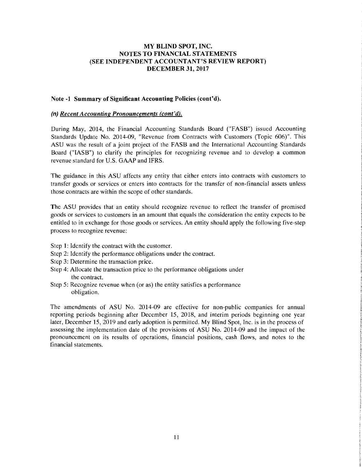#### Note -1 Summary of Significant Accounting Policies (cont'd).

#### (n) *Recent Accounting Pronouncements (cont'd).*

During May, 2014, the Financial Accounting Standards Board ("FASB") issued Accounting Standards Update No. 2014-09, "Revenue from Contracts with Customers (Topic 606)". This ASU was the result of a joint project of the FASB and the International Accounting Standards Board ("IASB") to clarify the principles for recognizing revenue and to develop a common revenue standard for U.S. GAAP and IFRS.

The guidance in this ASU affects any entity that either enters into contracts with customers to transfer goods or services or enters into contracts for the transfer of non-financial assets unless those contracts are within the scope of other standards.

The ASU provides that an entity should recognize revenue to reflect the transfer of promised goods or services to customers in an amount that equals the consideration the entity expects to be entitled to in exchange for those goods or services. An entity should apply the following five-step process to recognize revenue:

- Step 1: Identify the contract with the customer.
- Step 2: Identify the performance obligations under the contract.
- Step 3: Determine the transaction price.
- Step 4: Allocate the transaction price to the performance obligations under the contract.
- Step 5: Recognize revenue when (or as) the entity satisfies a performance obligation.

The amendments of ASU No. 2014-09 are effective for non-public companies for annual reporting periods beginning after December 15, 2018, and interim periods beginning one year later, December 15,2019 and early adoption is permitted. My Blind Spot, Inc. is in the process of assessing the implementation date of the provisions of ASU No. 2014-09 and the impact of the pronouncement on its results of operations, financial positions, cash flows, and notes to the financial statements.